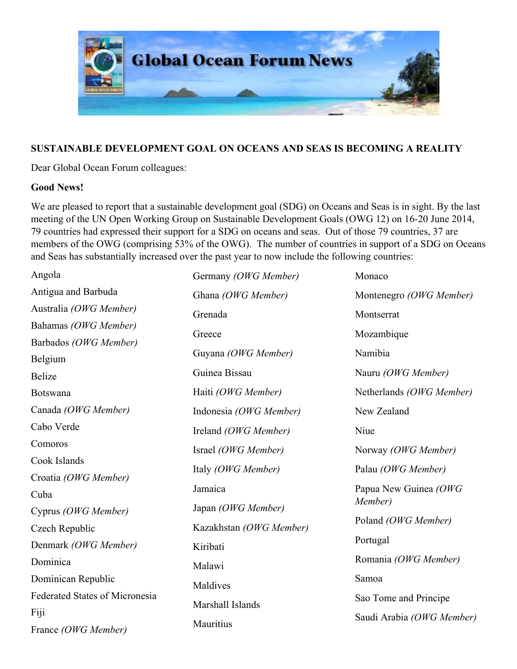

### **SUSTAINABLE DEVELOPMENT GOAL ON OCEANS AND SEAS IS BECOMING A REALITY**

Dear Global Ocean Forum colleagues:

## **Good News!**

We are pleased to report that a sustainable development goal (SDG) on Oceans and Seas is in sight. By the last meeting of the UN Open Working Group on Sustainable Development Goals (OWG 12) on 16-20 June 2014, 79 countries had expressed their support for a SDG on oceans and seas. Out of those 79 countries, 37 are members of the OWG (comprising 53% of the OWG). The number of countries in support of a SDG on Oceans and Seas has substantially increased over the past year to now include the following countries:

Angola Antigua and Barbuda Australia *(OWG Member)* Bahamas *(OWG Member)* Barbados *(OWG Member)* Belgium Belize Botswana Canada *(OWG Member)* Cabo Verde Comoros Cook Islands Croatia *(OWG Member)* Cuba Cyprus *(OWG Member)* Czech Republic Denmark *(OWG Member)* Dominica Dominican Republic Federated States of Micronesia Fiji France *(OWG Member)* Germany *(OWG Member)* Ghana *(OWG Member)* Grenada **Greece** Guyana *(OWG Member)* Guinea Bissau Haiti *(OWG Member)* Indonesia *(OWG Member)* Ireland *(OWG Member)* Israel *(OWG Member)* Italy *(OWG Member)* Jamaica Japan *(OWG Member)* Kazakhstan *(OWG Member)* Kiribati Malawi Maldives Marshall Islands Mauritius Monaco Montenegro *(OWG Member)* **Montserrat** Mozambique Namibia Nauru *(OWG Member)* Netherlands *(OWG Member)* New Zealand Niue Norway *(OWG Member)* Palau *(OWG Member)* Papua New Guinea *(OWG Member)* Poland *(OWG Member)* Portugal Romania *(OWG Member)* Samoa Sao Tome and Principe Saudi Arabia *(OWG Member)*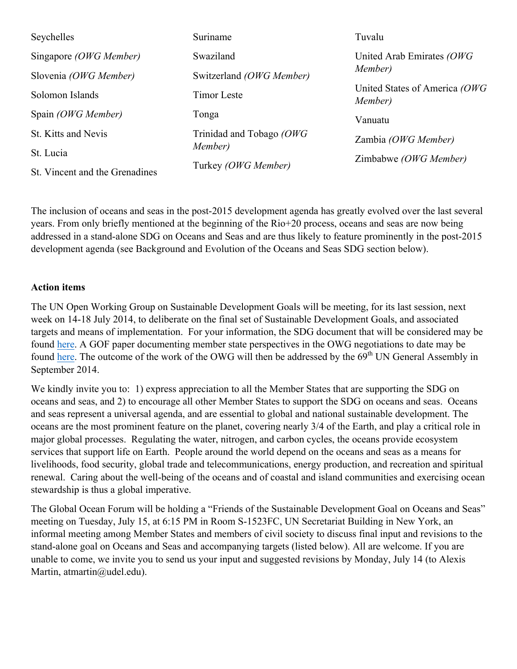| Seychelles                     | Suriname                       | Tuvalu                                   |
|--------------------------------|--------------------------------|------------------------------------------|
| Singapore (OWG Member)         | Swaziland                      | United Arab Emirates (OWG<br>Member)     |
| Slovenia (OWG Member)          | Switzerland (OWG Member)       |                                          |
| Solomon Islands                | <b>Timor</b> Leste             | United States of America (OWG<br>Member) |
| Spain (OWG Member)             | Tonga                          | Vanuatu                                  |
| St. Kitts and Nevis            | Trinidad and Tobago (OWG       | Zambia (OWG Member)                      |
| St. Lucia                      | Member)<br>Turkey (OWG Member) | Zimbabwe (OWG Member)                    |
| St. Vincent and the Grenadines |                                |                                          |

The inclusion of oceans and seas in the post-2015 development agenda has greatly evolved over the last several years. From only briefly mentioned at the beginning of the Rio+20 process, oceans and seas are now being addressed in a stand-alone SDG on Oceans and Seas and are thus likely to feature prominently in the post-2015 development agenda (see Background and Evolution of the Oceans and Seas SDG section below).

### **Action items**

The UN Open Working Group on Sustainable Development Goals will be meeting, for its last session, next week on 14-18 July 2014, to deliberate on the final set of Sustainable Development Goals, and associated targets and means of implementation. For your information, the SDG document that will be considered may be found here. A GOF paper documenting member state perspectives in the OWG negotiations to date may be found here. The outcome of the work of the OWG will then be addressed by the 69<sup>th</sup> UN General Assembly in September 2014.

We kindly invite you to: 1) express appreciation to all the Member States that are supporting the SDG on oceans and seas, and 2) to encourage all other Member States to support the SDG on oceans and seas. Oceans and seas represent a universal agenda, and are essential to global and national sustainable development. The oceans are the most prominent feature on the planet, covering nearly 3/4 of the Earth, and play a critical role in major global processes. Regulating the water, nitrogen, and carbon cycles, the oceans provide ecosystem services that support life on Earth. People around the world depend on the oceans and seas as a means for livelihoods, food security, global trade and telecommunications, energy production, and recreation and spiritual renewal. Caring about the well-being of the oceans and of coastal and island communities and exercising ocean stewardship is thus a global imperative.

The Global Ocean Forum will be holding a "Friends of the Sustainable Development Goal on Oceans and Seas" meeting on Tuesday, July 15, at 6:15 PM in Room S-1523FC, UN Secretariat Building in New York, an informal meeting among Member States and members of civil society to discuss final input and revisions to the stand-alone goal on Oceans and Seas and accompanying targets (listed below). All are welcome. If you are unable to come, we invite you to send us your input and suggested revisions by Monday, July 14 (to Alexis Martin, atmartin@udel.edu).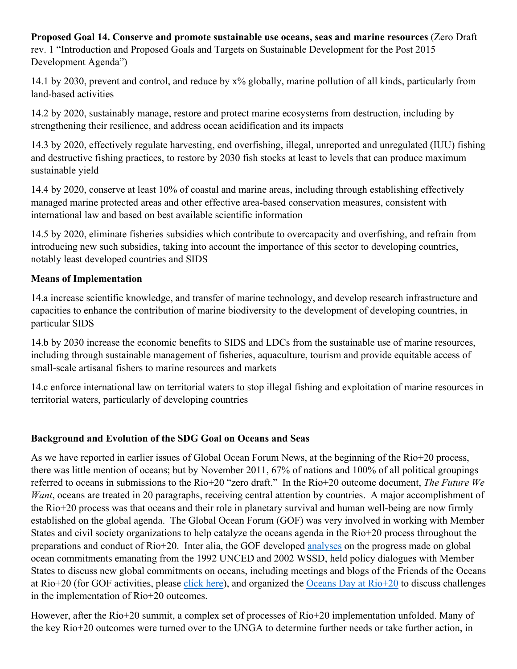## **Proposed Goal 14. Conserve and promote sustainable use oceans, seas and marine resources** (Zero Draft rev. 1 "Introduction and Proposed Goals and Targets on Sustainable Development for the Post 2015 Development Agenda")

14.1 by 2030, prevent and control, and reduce by x% globally, marine pollution of all kinds, particularly from land-based activities

14.2 by 2020, sustainably manage, restore and protect marine ecosystems from destruction, including by strengthening their resilience, and address ocean acidification and its impacts

14.3 by 2020, effectively regulate harvesting, end overfishing, illegal, unreported and unregulated (IUU) fishing and destructive fishing practices, to restore by 2030 fish stocks at least to levels that can produce maximum sustainable yield

14.4 by 2020, conserve at least 10% of coastal and marine areas, including through establishing effectively managed marine protected areas and other effective area-based conservation measures, consistent with international law and based on best available scientific information

14.5 by 2020, eliminate fisheries subsidies which contribute to overcapacity and overfishing, and refrain from introducing new such subsidies, taking into account the importance of this sector to developing countries, notably least developed countries and SIDS

# **Means of Implementation**

14.a increase scientific knowledge, and transfer of marine technology, and develop research infrastructure and capacities to enhance the contribution of marine biodiversity to the development of developing countries, in particular SIDS

14.b by 2030 increase the economic benefits to SIDS and LDCs from the sustainable use of marine resources, including through sustainable management of fisheries, aquaculture, tourism and provide equitable access of small-scale artisanal fishers to marine resources and markets

14.c enforce international law on territorial waters to stop illegal fishing and exploitation of marine resources in territorial waters, particularly of developing countries

# **Background and Evolution of the SDG Goal on Oceans and Seas**

As we have reported in earlier issues of Global Ocean Forum News, at the beginning of the Rio+20 process, there was little mention of oceans; but by November 2011, 67% of nations and 100% of all political groupings referred to oceans in submissions to the Rio+20 "zero draft." In the Rio+20 outcome document, *The Future We Want*, oceans are treated in 20 paragraphs, receiving central attention by countries. A major accomplishment of the Rio+20 process was that oceans and their role in planetary survival and human well-being are now firmly established on the global agenda. The Global Ocean Forum (GOF) was very involved in working with Member States and civil society organizations to help catalyze the oceans agenda in the Rio+20 process throughout the preparations and conduct of Rio+20. Inter alia, the GOF developed analyses on the progress made on global ocean commitments emanating from the 1992 UNCED and 2002 WSSD, held policy dialogues with Member States to discuss new global commitments on oceans, including meetings and blogs of the Friends of the Oceans at Rio+20 (for GOF activities, please click here), and organized the Oceans Day at Rio+20 to discuss challenges in the implementation of Rio+20 outcomes.

However, after the Rio+20 summit, a complex set of processes of Rio+20 implementation unfolded. Many of the key Rio+20 outcomes were turned over to the UNGA to determine further needs or take further action, in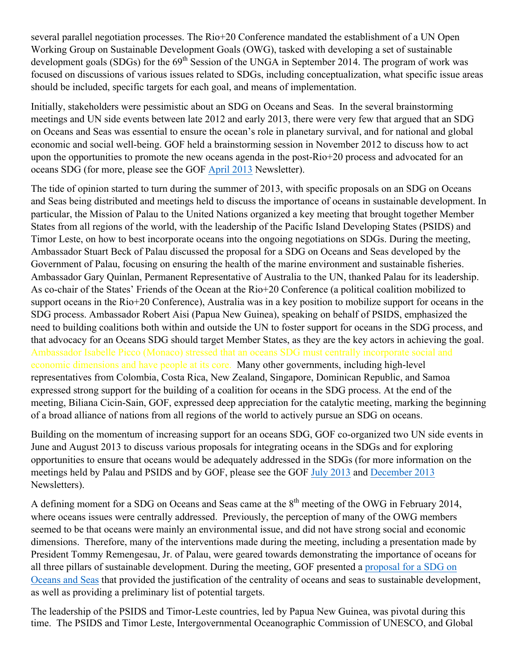several parallel negotiation processes. The Rio+20 Conference mandated the establishment of a UN Open Working Group on Sustainable Development Goals (OWG), tasked with developing a set of sustainable development goals (SDGs) for the 69<sup>th</sup> Session of the UNGA in September 2014. The program of work was focused on discussions of various issues related to SDGs, including conceptualization, what specific issue areas should be included, specific targets for each goal, and means of implementation.

Initially, stakeholders were pessimistic about an SDG on Oceans and Seas. In the several brainstorming meetings and UN side events between late 2012 and early 2013, there were very few that argued that an SDG on Oceans and Seas was essential to ensure the ocean's role in planetary survival, and for national and global economic and social well-being. GOF held a brainstorming session in November 2012 to discuss how to act upon the opportunities to promote the new oceans agenda in the post-Rio+20 process and advocated for an oceans SDG (for more, please see the GOF April 2013 Newsletter).

The tide of opinion started to turn during the summer of 2013, with specific proposals on an SDG on Oceans and Seas being distributed and meetings held to discuss the importance of oceans in sustainable development. In particular, the Mission of Palau to the United Nations organized a key meeting that brought together Member States from all regions of the world, with the leadership of the Pacific Island Developing States (PSIDS) and Timor Leste, on how to best incorporate oceans into the ongoing negotiations on SDGs. During the meeting, Ambassador Stuart Beck of Palau discussed the proposal for a SDG on Oceans and Seas developed by the Government of Palau, focusing on ensuring the health of the marine environment and sustainable fisheries. Ambassador Gary Quinlan, Permanent Representative of Australia to the UN, thanked Palau for its leadership. As co-chair of the States' Friends of the Ocean at the Rio+20 Conference (a political coalition mobilized to support oceans in the Rio+20 Conference), Australia was in a key position to mobilize support for oceans in the SDG process. Ambassador Robert Aisi (Papua New Guinea), speaking on behalf of PSIDS, emphasized the need to building coalitions both within and outside the UN to foster support for oceans in the SDG process, and that advocacy for an Oceans SDG should target Member States, as they are the key actors in achieving the goal. Ambassador Isabelle Picco (Monaco) stressed that an oceans SDG must centrally incorporate social and economic dimensions and have people at its core. Many other governments, including high-level representatives from Colombia, Costa Rica, New Zealand, Singapore, Dominican Republic, and Samoa expressed strong support for the building of a coalition for oceans in the SDG process. At the end of the meeting, Biliana Cicin-Sain, GOF, expressed deep appreciation for the catalytic meeting, marking the beginning of a broad alliance of nations from all regions of the world to actively pursue an SDG on oceans.

Building on the momentum of increasing support for an oceans SDG, GOF co-organized two UN side events in June and August 2013 to discuss various proposals for integrating oceans in the SDGs and for exploring opportunities to ensure that oceans would be adequately addressed in the SDGs (for more information on the meetings held by Palau and PSIDS and by GOF, please see the GOF July 2013 and December 2013 Newsletters).

A defining moment for a SDG on Oceans and Seas came at the  $8<sup>th</sup>$  meeting of the OWG in February 2014, where oceans issues were centrally addressed. Previously, the perception of many of the OWG members seemed to be that oceans were mainly an environmental issue, and did not have strong social and economic dimensions. Therefore, many of the interventions made during the meeting, including a presentation made by President Tommy Remengesau, Jr. of Palau, were geared towards demonstrating the importance of oceans for all three pillars of sustainable development. During the meeting, GOF presented a proposal for a SDG on Oceans and Seas that provided the justification of the centrality of oceans and seas to sustainable development, as well as providing a preliminary list of potential targets.

The leadership of the PSIDS and Timor-Leste countries, led by Papua New Guinea, was pivotal during this time. The PSIDS and Timor Leste, Intergovernmental Oceanographic Commission of UNESCO, and Global